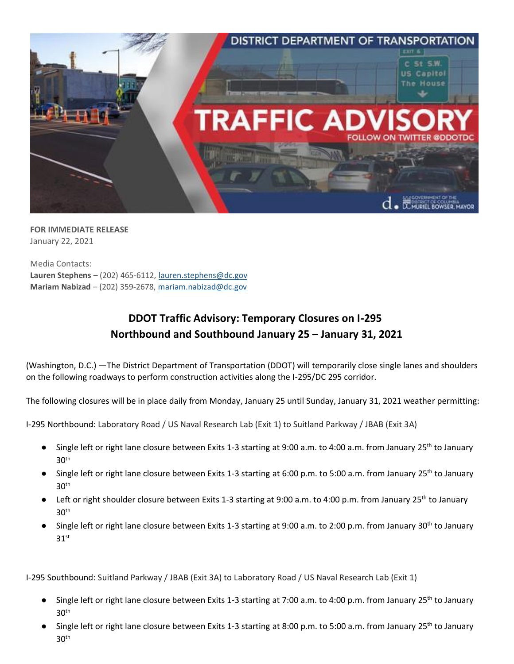

**FOR IMMEDIATE RELEASE** January 22, 2021

Media Contacts: **Lauren Stephens** – (202) 465-6112[, lauren.stephens@dc.gov](mailto:lauren.stephens@dc.gov) **Mariam Nabizad** – (202) 359-2678, [mariam.nabizad@dc.gov](mailto:mariam.nabizad@dc.gov)

## **DDOT Traffic Advisory: Temporary Closures on I-295 Northbound and Southbound January 25 – January 31, 2021**

(Washington, D.C.) —The District Department of Transportation (DDOT) will temporarily close single lanes and shoulders on the following roadways to perform construction activities along the I-295/DC 295 corridor.

The following closures will be in place daily from Monday, January 25 until Sunday, January 31, 2021 weather permitting:

I-295 Northbound: Laboratory Road / US Naval Research Lab (Exit 1) to Suitland Parkway / JBAB (Exit 3A)

- Single left or right lane closure between Exits 1-3 starting at 9:00 a.m. to 4:00 a.m. from January 25<sup>th</sup> to January  $30<sup>th</sup>$
- Single left or right lane closure between Exits 1-3 starting at 6:00 p.m. to 5:00 a.m. from January 25<sup>th</sup> to January  $30<sup>th</sup>$
- Left or right shoulder closure between Exits 1-3 starting at 9:00 a.m. to 4:00 p.m. from January 25<sup>th</sup> to January  $30<sup>th</sup>$
- Single left or right lane closure between Exits 1-3 starting at 9:00 a.m. to 2:00 p.m. from January 30<sup>th</sup> to January  $31$ <sup>st</sup>

I-295 Southbound: Suitland Parkway / JBAB (Exit 3A) to Laboratory Road / US Naval Research Lab (Exit 1)

- Single left or right lane closure between Exits 1-3 starting at 7:00 a.m. to 4:00 p.m. from January 25<sup>th</sup> to January  $30<sup>th</sup>$
- Single left or right lane closure between Exits 1-3 starting at 8:00 p.m. to 5:00 a.m. from January 25<sup>th</sup> to January  $30<sup>th</sup>$